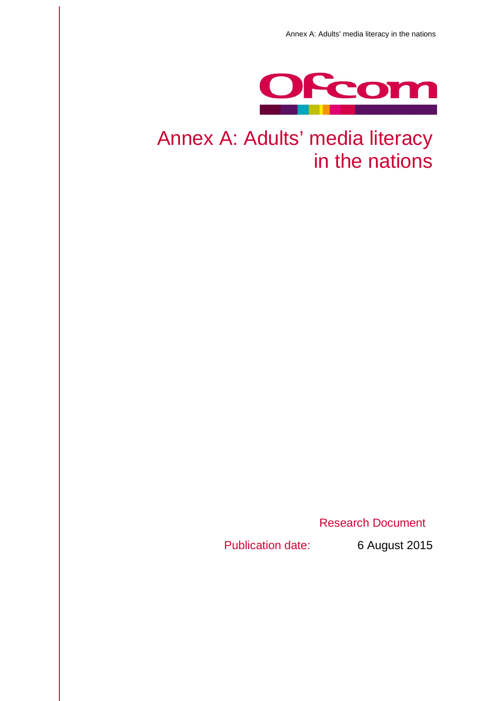

## Annex A: Adults' media literacy in the nations

Research Document

Publication date: 6 August 2015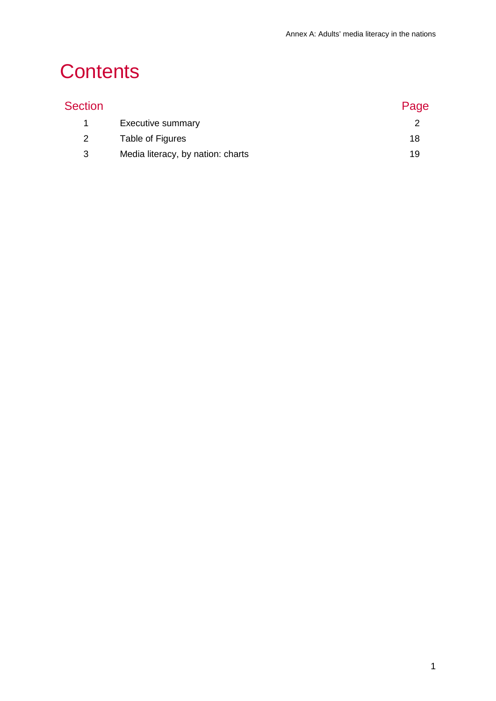## **Contents**

| Section |                                   | Page |
|---------|-----------------------------------|------|
| 1       | Executive summary                 |      |
| 2       | Table of Figures                  | 18   |
| 3       | Media literacy, by nation: charts | 19   |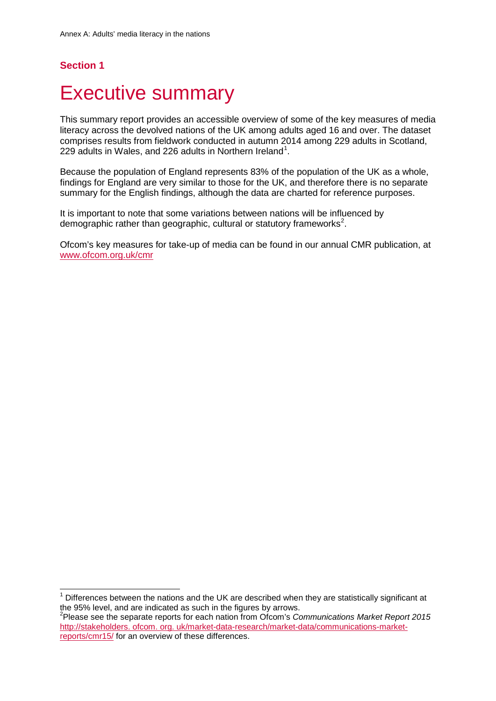## **Section 1**

 $\overline{a}$ 

## <span id="page-2-0"></span>**Executive summary**

This summary report provides an accessible overview of some of the key measures of media literacy across the devolved nations of the UK among adults aged 16 and over. The dataset comprises results from fieldwork conducted in autumn 2014 among 229 adults in Scotland, 229 adults in Wales, and 226 adults in Northern Ireland<sup>[1](#page-2-1)</sup>.

Because the population of England represents 83% of the population of the UK as a whole, findings for England are very similar to those for the UK, and therefore there is no separate summary for the English findings, although the data are charted for reference purposes.

It is important to note that some variations between nations will be influenced by demographic rather than geographic, cultural or statutory frameworks<sup>[2](#page-2-2)</sup>.

Ofcom's key measures for take-up of media can be found in our annual CMR publication, at [www.ofcom.org.uk/cmr](http://www.ofcom.org.uk/cmr)

<span id="page-2-1"></span><sup>1</sup> Differences between the nations and the UK are described when they are statistically significant at the 95% level, and are indicated as such in the figures by arrows.

<span id="page-2-2"></span><sup>2</sup> Please see the separate reports for each nation from Ofcom's *Communications Market Report 2015* http://stakeholders. ofcom. org. uk/market-data-research/market-data/communications-marketreports/cmr15/ for an overview of these differences.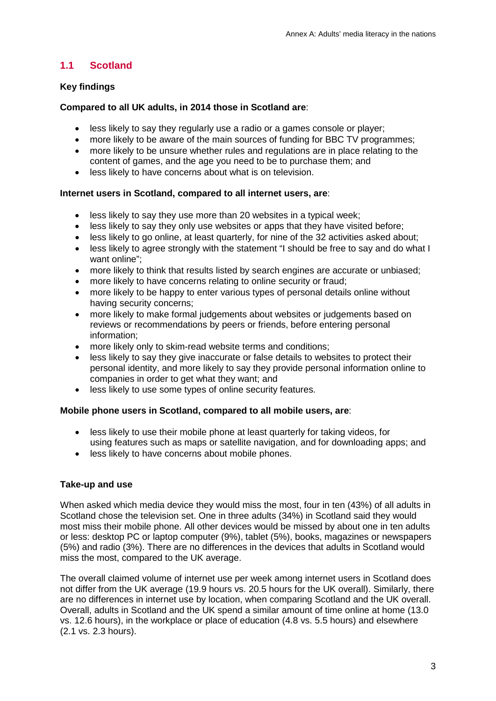### **1.1 Scotland**

#### **Key findings**

#### **Compared to all UK adults, in 2014 those in Scotland are**:

- less likely to say they regularly use a radio or a games console or player;
- more likely to be aware of the main sources of funding for BBC TV programmes;
- more likely to be unsure whether rules and regulations are in place relating to the content of games, and the age you need to be to purchase them; and
- less likely to have concerns about what is on television.

#### **Internet users in Scotland, compared to all internet users, are**:

- less likely to say they use more than 20 websites in a typical week:
- less likely to say they only use websites or apps that they have visited before;
- less likely to go online, at least quarterly, for nine of the 32 activities asked about;
- less likely to agree strongly with the statement "I should be free to say and do what I want online";
- more likely to think that results listed by search engines are accurate or unbiased;
- more likely to have concerns relating to online security or fraud;
- more likely to be happy to enter various types of personal details online without having security concerns;
- more likely to make formal judgements about websites or judgements based on reviews or recommendations by peers or friends, before entering personal information;
- more likely only to skim-read website terms and conditions;
- less likely to say they give inaccurate or false details to websites to protect their personal identity, and more likely to say they provide personal information online to companies in order to get what they want; and
- less likely to use some types of online security features.

#### **Mobile phone users in Scotland, compared to all mobile users, are**:

- less likely to use their mobile phone at least quarterly for taking videos, for using features such as maps or satellite navigation, and for downloading apps; and
- less likely to have concerns about mobile phones.

#### **Take-up and use**

When asked which media device they would miss the most, four in ten (43%) of all adults in Scotland chose the television set. One in three adults (34%) in Scotland said they would most miss their mobile phone. All other devices would be missed by about one in ten adults or less: desktop PC or laptop computer (9%), tablet (5%), books, magazines or newspapers (5%) and radio (3%). There are no differences in the devices that adults in Scotland would miss the most, compared to the UK average.

The overall claimed volume of internet use per week among internet users in Scotland does not differ from the UK average (19.9 hours vs. 20.5 hours for the UK overall). Similarly, there are no differences in internet use by location, when comparing Scotland and the UK overall. Overall, adults in Scotland and the UK spend a similar amount of time online at home (13.0 vs. 12.6 hours), in the workplace or place of education (4.8 vs. 5.5 hours) and elsewhere (2.1 vs. 2.3 hours).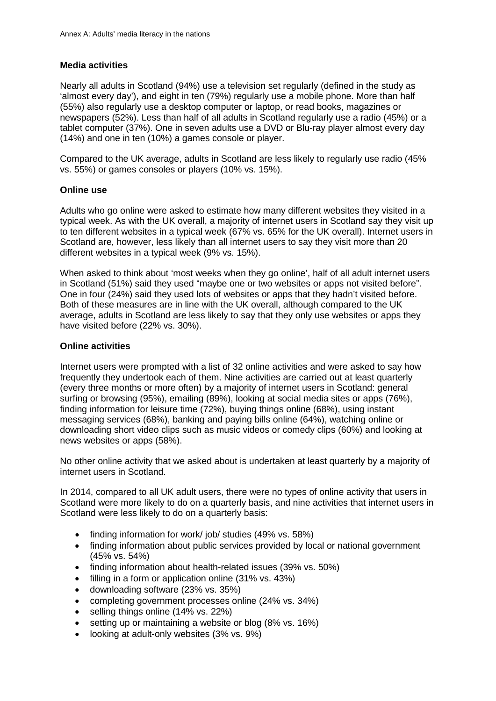#### **Media activities**

Nearly all adults in Scotland (94%) use a television set regularly (defined in the study as 'almost every day'), and eight in ten (79%) regularly use a mobile phone. More than half (55%) also regularly use a desktop computer or laptop, or read books, magazines or newspapers (52%). Less than half of all adults in Scotland regularly use a radio (45%) or a tablet computer (37%). One in seven adults use a DVD or Blu-ray player almost every day (14%) and one in ten (10%) a games console or player.

Compared to the UK average, adults in Scotland are less likely to regularly use radio (45% vs. 55%) or games consoles or players (10% vs. 15%).

#### **Online use**

Adults who go online were asked to estimate how many different websites they visited in a typical week. As with the UK overall, a majority of internet users in Scotland say they visit up to ten different websites in a typical week (67% vs. 65% for the UK overall). Internet users in Scotland are, however, less likely than all internet users to say they visit more than 20 different websites in a typical week (9% vs. 15%).

When asked to think about 'most weeks when they go online', half of all adult internet users in Scotland (51%) said they used "maybe one or two websites or apps not visited before". One in four (24%) said they used lots of websites or apps that they hadn't visited before. Both of these measures are in line with the UK overall, although compared to the UK average, adults in Scotland are less likely to say that they only use websites or apps they have visited before (22% vs. 30%).

#### **Online activities**

Internet users were prompted with a list of 32 online activities and were asked to say how frequently they undertook each of them. Nine activities are carried out at least quarterly (every three months or more often) by a majority of internet users in Scotland: general surfing or browsing (95%), emailing (89%), looking at social media sites or apps (76%), finding information for leisure time (72%), buying things online (68%), using instant messaging services (68%), banking and paying bills online (64%), watching online or downloading short video clips such as music videos or comedy clips (60%) and looking at news websites or apps (58%).

No other online activity that we asked about is undertaken at least quarterly by a majority of internet users in Scotland.

In 2014, compared to all UK adult users, there were no types of online activity that users in Scotland were more likely to do on a quarterly basis, and nine activities that internet users in Scotland were less likely to do on a quarterly basis:

- finding information for work/ job/ studies (49% vs. 58%)
- finding information about public services provided by local or national government (45% vs. 54%)
- finding information about health-related issues (39% vs. 50%)
- filling in a form or application online (31% vs. 43%)
- downloading software (23% vs. 35%)
- completing government processes online (24% vs. 34%)
- selling things online (14% vs. 22%)
- setting up or maintaining a website or blog (8% vs. 16%)
- looking at adult-only websites (3% vs. 9%)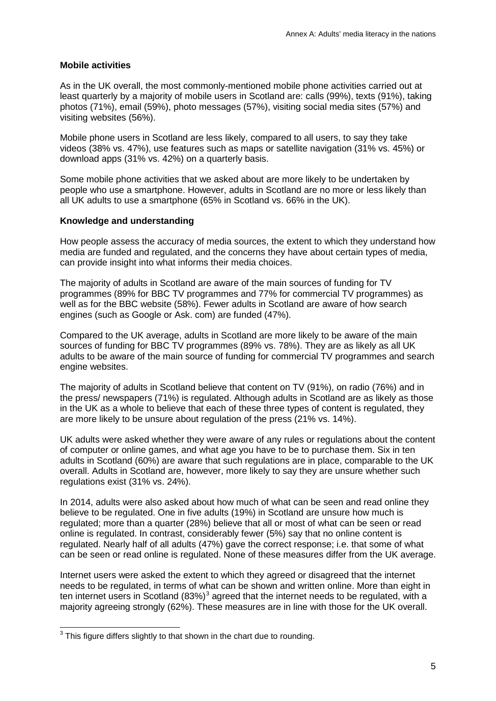#### **Mobile activities**

As in the UK overall, the most commonly-mentioned mobile phone activities carried out at least quarterly by a majority of mobile users in Scotland are: calls (99%), texts (91%), taking photos (71%), email (59%), photo messages (57%), visiting social media sites (57%) and visiting websites (56%).

Mobile phone users in Scotland are less likely, compared to all users, to say they take videos (38% vs. 47%), use features such as maps or satellite navigation (31% vs. 45%) or download apps (31% vs. 42%) on a quarterly basis.

Some mobile phone activities that we asked about are more likely to be undertaken by people who use a smartphone. However, adults in Scotland are no more or less likely than all UK adults to use a smartphone (65% in Scotland vs. 66% in the UK).

#### **Knowledge and understanding**

How people assess the accuracy of media sources, the extent to which they understand how media are funded and regulated, and the concerns they have about certain types of media, can provide insight into what informs their media choices.

The majority of adults in Scotland are aware of the main sources of funding for TV programmes (89% for BBC TV programmes and 77% for commercial TV programmes) as well as for the BBC website (58%). Fewer adults in Scotland are aware of how search engines (such as Google or Ask. com) are funded (47%).

Compared to the UK average, adults in Scotland are more likely to be aware of the main sources of funding for BBC TV programmes (89% vs. 78%). They are as likely as all UK adults to be aware of the main source of funding for commercial TV programmes and search engine websites.

The majority of adults in Scotland believe that content on TV (91%), on radio (76%) and in the press/ newspapers (71%) is regulated. Although adults in Scotland are as likely as those in the UK as a whole to believe that each of these three types of content is regulated, they are more likely to be unsure about regulation of the press (21% vs. 14%).

UK adults were asked whether they were aware of any rules or regulations about the content of computer or online games, and what age you have to be to purchase them. Six in ten adults in Scotland (60%) are aware that such regulations are in place, comparable to the UK overall. Adults in Scotland are, however, more likely to say they are unsure whether such regulations exist (31% vs. 24%).

In 2014, adults were also asked about how much of what can be seen and read online they believe to be regulated. One in five adults (19%) in Scotland are unsure how much is regulated; more than a quarter (28%) believe that all or most of what can be seen or read online is regulated. In contrast, considerably fewer (5%) say that no online content is regulated. Nearly half of all adults (47%) gave the correct response; i.e. that some of what can be seen or read online is regulated. None of these measures differ from the UK average.

Internet users were asked the extent to which they agreed or disagreed that the internet needs to be regulated, in terms of what can be shown and written online. More than eight in ten internet users in Scotland (8[3](#page-5-0)%)<sup>3</sup> agreed that the internet needs to be regulated, with a majority agreeing strongly (62%). These measures are in line with those for the UK overall.

<span id="page-5-0"></span> $^3$  This figure differs slightly to that shown in the chart due to rounding.  $\overline{a}$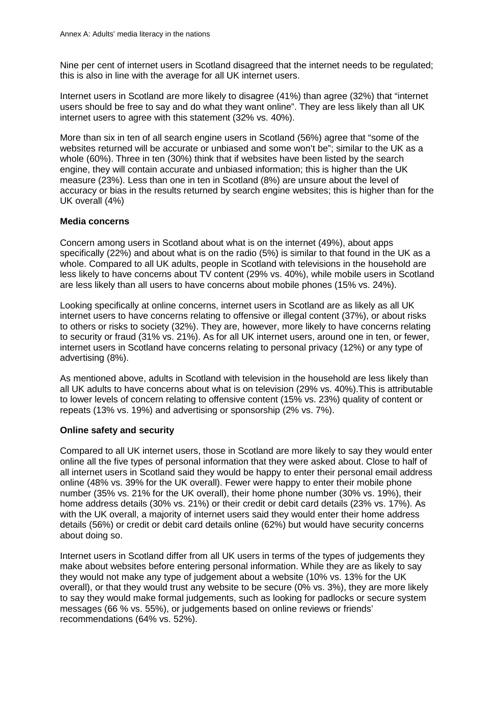Nine per cent of internet users in Scotland disagreed that the internet needs to be regulated; this is also in line with the average for all UK internet users.

Internet users in Scotland are more likely to disagree (41%) than agree (32%) that "internet users should be free to say and do what they want online". They are less likely than all UK internet users to agree with this statement (32% vs. 40%).

More than six in ten of all search engine users in Scotland (56%) agree that "some of the websites returned will be accurate or unbiased and some won't be"; similar to the UK as a whole (60%). Three in ten (30%) think that if websites have been listed by the search engine, they will contain accurate and unbiased information; this is higher than the UK measure (23%). Less than one in ten in Scotland (8%) are unsure about the level of accuracy or bias in the results returned by search engine websites; this is higher than for the UK overall (4%)

#### **Media concerns**

Concern among users in Scotland about what is on the internet (49%), about apps specifically (22%) and about what is on the radio (5%) is similar to that found in the UK as a whole. Compared to all UK adults, people in Scotland with televisions in the household are less likely to have concerns about TV content (29% vs. 40%), while mobile users in Scotland are less likely than all users to have concerns about mobile phones (15% vs. 24%).

Looking specifically at online concerns, internet users in Scotland are as likely as all UK internet users to have concerns relating to offensive or illegal content (37%), or about risks to others or risks to society (32%). They are, however, more likely to have concerns relating to security or fraud (31% vs. 21%). As for all UK internet users, around one in ten, or fewer, internet users in Scotland have concerns relating to personal privacy (12%) or any type of advertising (8%).

As mentioned above, adults in Scotland with television in the household are less likely than all UK adults to have concerns about what is on television (29% vs. 40%).This is attributable to lower levels of concern relating to offensive content (15% vs. 23%) quality of content or repeats (13% vs. 19%) and advertising or sponsorship (2% vs. 7%).

#### **Online safety and security**

Compared to all UK internet users, those in Scotland are more likely to say they would enter online all the five types of personal information that they were asked about. Close to half of all internet users in Scotland said they would be happy to enter their personal email address online (48% vs. 39% for the UK overall). Fewer were happy to enter their mobile phone number (35% vs. 21% for the UK overall), their home phone number (30% vs. 19%), their home address details (30% vs. 21%) or their credit or debit card details (23% vs. 17%). As with the UK overall, a majority of internet users said they would enter their home address details (56%) or credit or debit card details online (62%) but would have security concerns about doing so.

Internet users in Scotland differ from all UK users in terms of the types of judgements they make about websites before entering personal information. While they are as likely to say they would not make any type of judgement about a website (10% vs. 13% for the UK overall), or that they would trust any website to be secure (0% vs. 3%), they are more likely to say they would make formal judgements, such as looking for padlocks or secure system messages (66 % vs. 55%), or judgements based on online reviews or friends' recommendations (64% vs. 52%).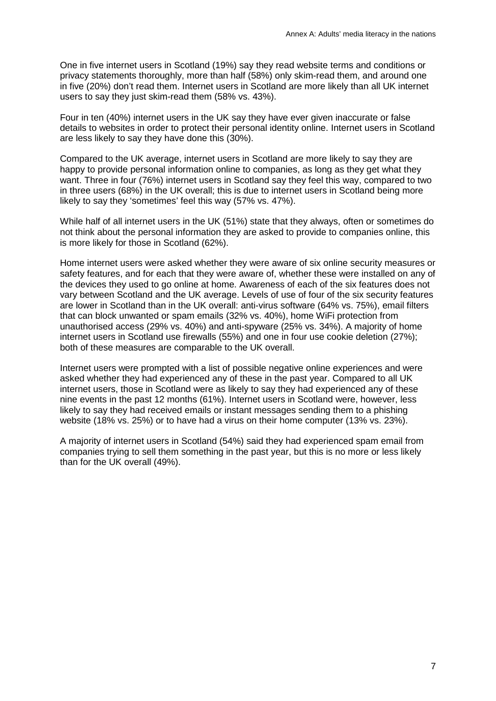One in five internet users in Scotland (19%) say they read website terms and conditions or privacy statements thoroughly, more than half (58%) only skim-read them, and around one in five (20%) don't read them. Internet users in Scotland are more likely than all UK internet users to say they just skim-read them (58% vs. 43%).

Four in ten (40%) internet users in the UK say they have ever given inaccurate or false details to websites in order to protect their personal identity online. Internet users in Scotland are less likely to say they have done this (30%).

Compared to the UK average, internet users in Scotland are more likely to say they are happy to provide personal information online to companies, as long as they get what they want. Three in four (76%) internet users in Scotland say they feel this way, compared to two in three users (68%) in the UK overall; this is due to internet users in Scotland being more likely to say they 'sometimes' feel this way (57% vs. 47%).

While half of all internet users in the UK (51%) state that they always, often or sometimes do not think about the personal information they are asked to provide to companies online, this is more likely for those in Scotland (62%).

Home internet users were asked whether they were aware of six online security measures or safety features, and for each that they were aware of, whether these were installed on any of the devices they used to go online at home. Awareness of each of the six features does not vary between Scotland and the UK average. Levels of use of four of the six security features are lower in Scotland than in the UK overall: anti-virus software (64% vs. 75%), email filters that can block unwanted or spam emails (32% vs. 40%), home WiFi protection from unauthorised access (29% vs. 40%) and anti-spyware (25% vs. 34%). A majority of home internet users in Scotland use firewalls (55%) and one in four use cookie deletion (27%); both of these measures are comparable to the UK overall.

Internet users were prompted with a list of possible negative online experiences and were asked whether they had experienced any of these in the past year. Compared to all UK internet users, those in Scotland were as likely to say they had experienced any of these nine events in the past 12 months (61%). Internet users in Scotland were, however, less likely to say they had received emails or instant messages sending them to a phishing website (18% vs. 25%) or to have had a virus on their home computer (13% vs. 23%).

A majority of internet users in Scotland (54%) said they had experienced spam email from companies trying to sell them something in the past year, but this is no more or less likely than for the UK overall (49%).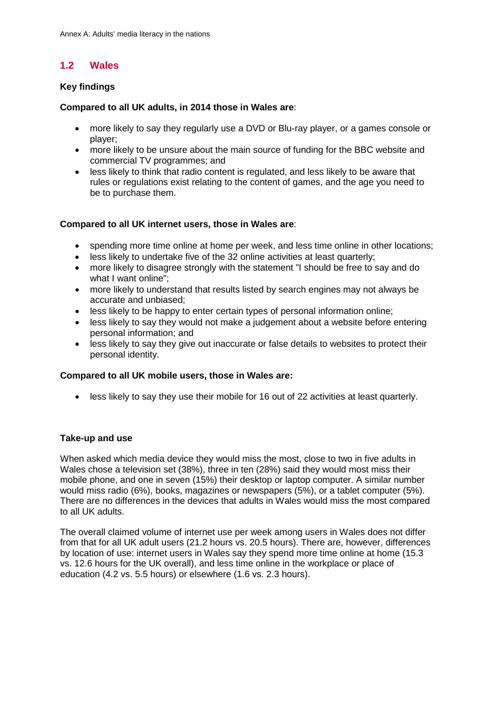## **1.2 Wales**

#### **Key findings**

#### **Compared to all UK adults, in 2014 those in Wales are**:

- more likely to say they regularly use a DVD or Blu-ray player, or a games console or player;
- more likely to be unsure about the main source of funding for the BBC website and commercial TV programmes; and
- less likely to think that radio content is regulated, and less likely to be aware that rules or regulations exist relating to the content of games, and the age you need to be to purchase them.

#### **Compared to all UK internet users, those in Wales are**:

- spending more time online at home per week, and less time online in other locations;
- less likely to undertake five of the 32 online activities at least quarterly;
- more likely to disagree strongly with the statement "I should be free to say and do what I want online";
- more likely to understand that results listed by search engines may not always be accurate and unbiased;
- less likely to be happy to enter certain types of personal information online;
- less likely to say they would not make a judgement about a website before entering personal information; and
- less likely to say they give out inaccurate or false details to websites to protect their personal identity.

#### **Compared to all UK mobile users, those in Wales are:**

• less likely to say they use their mobile for 16 out of 22 activities at least quarterly.

#### **Take-up and use**

When asked which media device they would miss the most, close to two in five adults in Wales chose a television set (38%), three in ten (28%) said they would most miss their mobile phone, and one in seven (15%) their desktop or laptop computer. A similar number would miss radio (6%), books, magazines or newspapers (5%), or a tablet computer (5%). There are no differences in the devices that adults in Wales would miss the most compared to all UK adults.

The overall claimed volume of internet use per week among users in Wales does not differ from that for all UK adult users (21.2 hours vs. 20.5 hours). There are, however, differences by location of use: internet users in Wales say they spend more time online at home (15.3 vs. 12.6 hours for the UK overall), and less time online in the workplace or place of education (4.2 vs. 5.5 hours) or elsewhere (1.6 vs. 2.3 hours).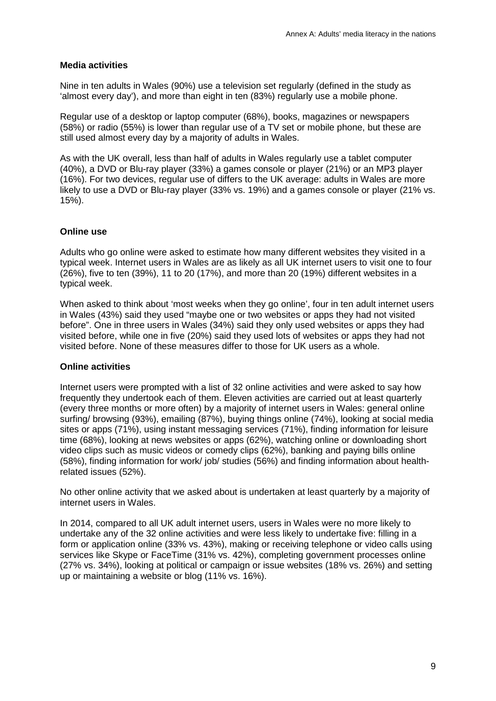#### **Media activities**

Nine in ten adults in Wales (90%) use a television set regularly (defined in the study as 'almost every day'), and more than eight in ten (83%) regularly use a mobile phone.

Regular use of a desktop or laptop computer (68%), books, magazines or newspapers (58%) or radio (55%) is lower than regular use of a TV set or mobile phone, but these are still used almost every day by a majority of adults in Wales.

As with the UK overall, less than half of adults in Wales regularly use a tablet computer (40%), a DVD or Blu-ray player (33%) a games console or player (21%) or an MP3 player (16%). For two devices, regular use of differs to the UK average: adults in Wales are more likely to use a DVD or Blu-ray player (33% vs. 19%) and a games console or player (21% vs. 15%).

#### **Online use**

Adults who go online were asked to estimate how many different websites they visited in a typical week. Internet users in Wales are as likely as all UK internet users to visit one to four (26%), five to ten (39%), 11 to 20 (17%), and more than 20 (19%) different websites in a typical week.

When asked to think about 'most weeks when they go online', four in ten adult internet users in Wales (43%) said they used "maybe one or two websites or apps they had not visited before". One in three users in Wales (34%) said they only used websites or apps they had visited before, while one in five (20%) said they used lots of websites or apps they had not visited before. None of these measures differ to those for UK users as a whole.

#### **Online activities**

Internet users were prompted with a list of 32 online activities and were asked to say how frequently they undertook each of them. Eleven activities are carried out at least quarterly (every three months or more often) by a majority of internet users in Wales: general online surfing/ browsing (93%), emailing (87%), buying things online (74%), looking at social media sites or apps (71%), using instant messaging services (71%), finding information for leisure time (68%), looking at news websites or apps (62%), watching online or downloading short video clips such as music videos or comedy clips (62%), banking and paying bills online (58%), finding information for work/ job/ studies (56%) and finding information about healthrelated issues (52%).

No other online activity that we asked about is undertaken at least quarterly by a majority of internet users in Wales.

In 2014, compared to all UK adult internet users, users in Wales were no more likely to undertake any of the 32 online activities and were less likely to undertake five: filling in a form or application online (33% vs. 43%), making or receiving telephone or video calls using services like Skype or FaceTime (31% vs. 42%), completing government processes online (27% vs. 34%), looking at political or campaign or issue websites (18% vs. 26%) and setting up or maintaining a website or blog (11% vs. 16%).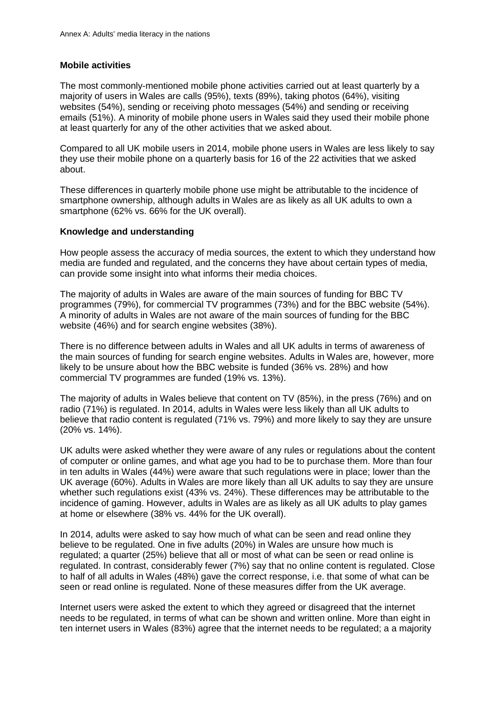#### **Mobile activities**

The most commonly-mentioned mobile phone activities carried out at least quarterly by a majority of users in Wales are calls (95%), texts (89%), taking photos (64%), visiting websites (54%), sending or receiving photo messages (54%) and sending or receiving emails (51%). A minority of mobile phone users in Wales said they used their mobile phone at least quarterly for any of the other activities that we asked about.

Compared to all UK mobile users in 2014, mobile phone users in Wales are less likely to say they use their mobile phone on a quarterly basis for 16 of the 22 activities that we asked about.

These differences in quarterly mobile phone use might be attributable to the incidence of smartphone ownership, although adults in Wales are as likely as all UK adults to own a smartphone (62% vs. 66% for the UK overall).

#### **Knowledge and understanding**

How people assess the accuracy of media sources, the extent to which they understand how media are funded and regulated, and the concerns they have about certain types of media, can provide some insight into what informs their media choices.

The majority of adults in Wales are aware of the main sources of funding for BBC TV programmes (79%), for commercial TV programmes (73%) and for the BBC website (54%). A minority of adults in Wales are not aware of the main sources of funding for the BBC website (46%) and for search engine websites (38%).

There is no difference between adults in Wales and all UK adults in terms of awareness of the main sources of funding for search engine websites. Adults in Wales are, however, more likely to be unsure about how the BBC website is funded (36% vs. 28%) and how commercial TV programmes are funded (19% vs. 13%).

The majority of adults in Wales believe that content on TV (85%), in the press (76%) and on radio (71%) is regulated. In 2014, adults in Wales were less likely than all UK adults to believe that radio content is regulated (71% vs. 79%) and more likely to say they are unsure (20% vs. 14%).

UK adults were asked whether they were aware of any rules or regulations about the content of computer or online games, and what age you had to be to purchase them. More than four in ten adults in Wales (44%) were aware that such regulations were in place; lower than the UK average (60%). Adults in Wales are more likely than all UK adults to say they are unsure whether such regulations exist (43% vs. 24%). These differences may be attributable to the incidence of gaming. However, adults in Wales are as likely as all UK adults to play games at home or elsewhere (38% vs. 44% for the UK overall).

In 2014, adults were asked to say how much of what can be seen and read online they believe to be regulated. One in five adults (20%) in Wales are unsure how much is regulated; a quarter (25%) believe that all or most of what can be seen or read online is regulated. In contrast, considerably fewer (7%) say that no online content is regulated. Close to half of all adults in Wales (48%) gave the correct response, i.e. that some of what can be seen or read online is regulated. None of these measures differ from the UK average.

Internet users were asked the extent to which they agreed or disagreed that the internet needs to be regulated, in terms of what can be shown and written online. More than eight in ten internet users in Wales (83%) agree that the internet needs to be regulated; a a majority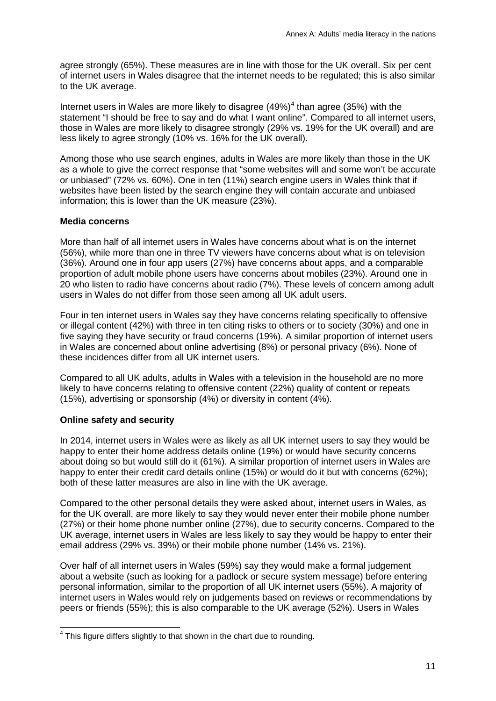agree strongly (65%). These measures are in line with those for the UK overall. Six per cent of internet users in Wales disagree that the internet needs to be regulated; this is also similar to the UK average.

Internet users in Wales are more likely to disagree (49%) [4](#page-11-0) than agree (35%) with the statement "I should be free to say and do what I want online". Compared to all internet users, those in Wales are more likely to disagree strongly (29% vs. 19% for the UK overall) and are less likely to agree strongly (10% vs. 16% for the UK overall).

Among those who use search engines, adults in Wales are more likely than those in the UK as a whole to give the correct response that "some websites will and some won't be accurate or unbiased" (72% vs. 60%). One in ten (11%) search engine users in Wales think that if websites have been listed by the search engine they will contain accurate and unbiased information; this is lower than the UK measure (23%).

#### **Media concerns**

More than half of all internet users in Wales have concerns about what is on the internet (56%), while more than one in three TV viewers have concerns about what is on television (36%). Around one in four app users (27%) have concerns about apps, and a comparable proportion of adult mobile phone users have concerns about mobiles (23%). Around one in 20 who listen to radio have concerns about radio (7%). These levels of concern among adult users in Wales do not differ from those seen among all UK adult users.

Four in ten internet users in Wales say they have concerns relating specifically to offensive or illegal content (42%) with three in ten citing risks to others or to society (30%) and one in five saying they have security or fraud concerns (19%). A similar proportion of internet users in Wales are concerned about online advertising (8%) or personal privacy (6%). None of these incidences differ from all UK internet users.

Compared to all UK adults, adults in Wales with a television in the household are no more likely to have concerns relating to offensive content (22%) quality of content or repeats (15%), advertising or sponsorship (4%) or diversity in content (4%).

#### **Online safety and security**

In 2014, internet users in Wales were as likely as all UK internet users to say they would be happy to enter their home address details online (19%) or would have security concerns about doing so but would still do it (61%). A similar proportion of internet users in Wales are happy to enter their credit card details online (15%) or would do it but with concerns (62%); both of these latter measures are also in line with the UK average.

Compared to the other personal details they were asked about, internet users in Wales, as for the UK overall, are more likely to say they would never enter their mobile phone number (27%) or their home phone number online (27%), due to security concerns. Compared to the UK average, internet users in Wales are less likely to say they would be happy to enter their email address (29% vs. 39%) or their mobile phone number (14% vs. 21%).

Over half of all internet users in Wales (59%) say they would make a formal judgement about a website (such as looking for a padlock or secure system message) before entering personal information, similar to the proportion of all UK internet users (55%). A majority of internet users in Wales would rely on judgements based on reviews or recommendations by peers or friends (55%); this is also comparable to the UK average (52%). Users in Wales

<span id="page-11-0"></span> $<sup>4</sup>$  This figure differs slightly to that shown in the chart due to rounding.</sup>  $\overline{\phantom{a}}$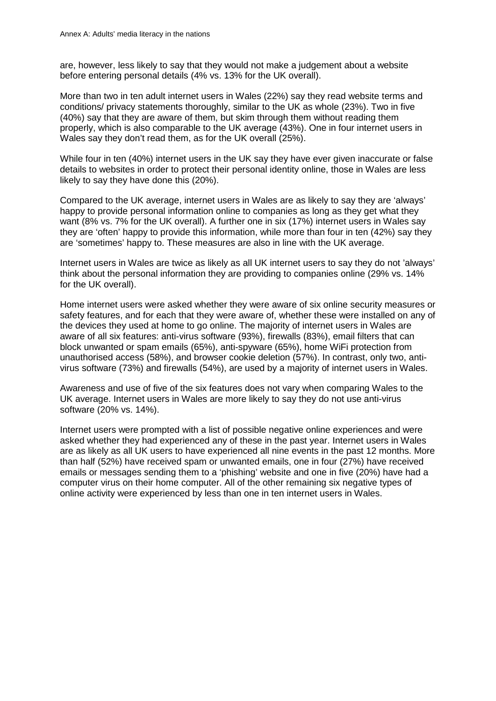are, however, less likely to say that they would not make a judgement about a website before entering personal details (4% vs. 13% for the UK overall).

More than two in ten adult internet users in Wales (22%) say they read website terms and conditions/ privacy statements thoroughly, similar to the UK as whole (23%). Two in five (40%) say that they are aware of them, but skim through them without reading them properly, which is also comparable to the UK average (43%). One in four internet users in Wales say they don't read them, as for the UK overall (25%).

While four in ten (40%) internet users in the UK say they have ever given inaccurate or false details to websites in order to protect their personal identity online, those in Wales are less likely to say they have done this (20%).

Compared to the UK average, internet users in Wales are as likely to say they are 'always' happy to provide personal information online to companies as long as they get what they want (8% vs. 7% for the UK overall). A further one in six (17%) internet users in Wales say they are 'often' happy to provide this information, while more than four in ten (42%) say they are 'sometimes' happy to. These measures are also in line with the UK average.

Internet users in Wales are twice as likely as all UK internet users to say they do not 'always' think about the personal information they are providing to companies online (29% vs. 14% for the UK overall).

Home internet users were asked whether they were aware of six online security measures or safety features, and for each that they were aware of, whether these were installed on any of the devices they used at home to go online. The majority of internet users in Wales are aware of all six features: anti-virus software (93%), firewalls (83%), email filters that can block unwanted or spam emails (65%), anti-spyware (65%), home WiFi protection from unauthorised access (58%), and browser cookie deletion (57%). In contrast, only two, antivirus software (73%) and firewalls (54%), are used by a majority of internet users in Wales.

Awareness and use of five of the six features does not vary when comparing Wales to the UK average. Internet users in Wales are more likely to say they do not use anti-virus software (20% vs. 14%).

Internet users were prompted with a list of possible negative online experiences and were asked whether they had experienced any of these in the past year. Internet users in Wales are as likely as all UK users to have experienced all nine events in the past 12 months. More than half (52%) have received spam or unwanted emails, one in four (27%) have received emails or messages sending them to a 'phishing' website and one in five (20%) have had a computer virus on their home computer. All of the other remaining six negative types of online activity were experienced by less than one in ten internet users in Wales.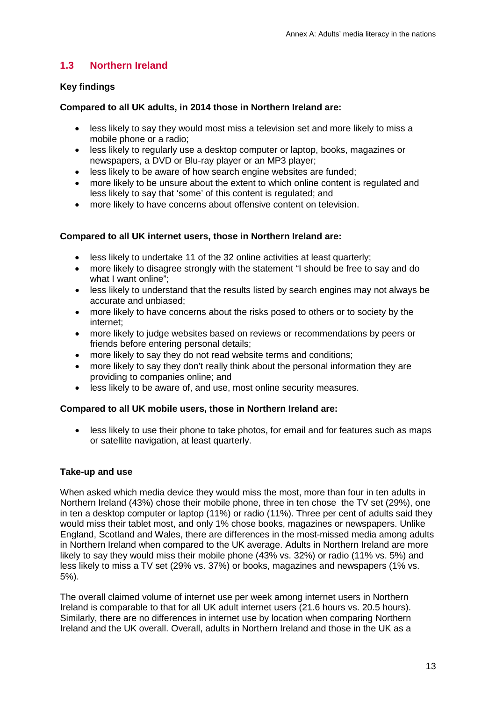## **1.3 Northern Ireland**

#### **Key findings**

#### **Compared to all UK adults, in 2014 those in Northern Ireland are:**

- less likely to say they would most miss a television set and more likely to miss a mobile phone or a radio;
- less likely to regularly use a desktop computer or laptop, books, magazines or newspapers, a DVD or Blu-ray player or an MP3 player;
- less likely to be aware of how search engine websites are funded;
- more likely to be unsure about the extent to which online content is regulated and less likely to say that 'some' of this content is regulated; and
- more likely to have concerns about offensive content on television.

#### **Compared to all UK internet users, those in Northern Ireland are:**

- less likely to undertake 11 of the 32 online activities at least quarterly;
- more likely to disagree strongly with the statement "I should be free to say and do what I want online":
- less likely to understand that the results listed by search engines may not always be accurate and unbiased;
- more likely to have concerns about the risks posed to others or to society by the internet;
- more likely to judge websites based on reviews or recommendations by peers or friends before entering personal details;
- more likely to say they do not read website terms and conditions;
- more likely to say they don't really think about the personal information they are providing to companies online; and
- less likely to be aware of, and use, most online security measures.

#### **Compared to all UK mobile users, those in Northern Ireland are:**

• less likely to use their phone to take photos, for email and for features such as maps or satellite navigation, at least quarterly.

#### **Take-up and use**

When asked which media device they would miss the most, more than four in ten adults in Northern Ireland (43%) chose their mobile phone, three in ten chose the TV set (29%), one in ten a desktop computer or laptop (11%) or radio (11%). Three per cent of adults said they would miss their tablet most, and only 1% chose books, magazines or newspapers. Unlike England, Scotland and Wales, there are differences in the most-missed media among adults in Northern Ireland when compared to the UK average. Adults in Northern Ireland are more likely to say they would miss their mobile phone (43% vs. 32%) or radio (11% vs. 5%) and less likely to miss a TV set (29% vs. 37%) or books, magazines and newspapers (1% vs. 5%).

The overall claimed volume of internet use per week among internet users in Northern Ireland is comparable to that for all UK adult internet users (21.6 hours vs. 20.5 hours). Similarly, there are no differences in internet use by location when comparing Northern Ireland and the UK overall. Overall, adults in Northern Ireland and those in the UK as a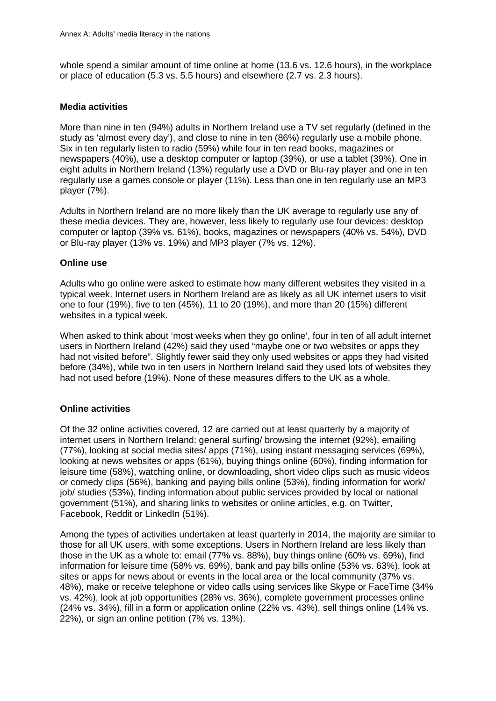whole spend a similar amount of time online at home (13.6 vs. 12.6 hours), in the workplace or place of education (5.3 vs. 5.5 hours) and elsewhere (2.7 vs. 2.3 hours).

#### **Media activities**

More than nine in ten (94%) adults in Northern Ireland use a TV set regularly (defined in the study as 'almost every day'), and close to nine in ten (86%) regularly use a mobile phone. Six in ten regularly listen to radio (59%) while four in ten read books, magazines or newspapers (40%), use a desktop computer or laptop (39%), or use a tablet (39%). One in eight adults in Northern Ireland (13%) regularly use a DVD or Blu-ray player and one in ten regularly use a games console or player (11%). Less than one in ten regularly use an MP3 player (7%).

Adults in Northern Ireland are no more likely than the UK average to regularly use any of these media devices. They are, however, less likely to regularly use four devices: desktop computer or laptop (39% vs. 61%), books, magazines or newspapers (40% vs. 54%), DVD or Blu-ray player (13% vs. 19%) and MP3 player (7% vs. 12%).

#### **Online use**

Adults who go online were asked to estimate how many different websites they visited in a typical week. Internet users in Northern Ireland are as likely as all UK internet users to visit one to four (19%), five to ten (45%), 11 to 20 (19%), and more than 20 (15%) different websites in a typical week.

When asked to think about 'most weeks when they go online', four in ten of all adult internet users in Northern Ireland (42%) said they used "maybe one or two websites or apps they had not visited before". Slightly fewer said they only used websites or apps they had visited before (34%), while two in ten users in Northern Ireland said they used lots of websites they had not used before (19%). None of these measures differs to the UK as a whole.

#### **Online activities**

Of the 32 online activities covered, 12 are carried out at least quarterly by a majority of internet users in Northern Ireland: general surfing/ browsing the internet (92%), emailing (77%), looking at social media sites/ apps (71%), using instant messaging services (69%), looking at news websites or apps (61%), buying things online (60%), finding information for leisure time (58%), watching online, or downloading, short video clips such as music videos or comedy clips (56%), banking and paying bills online (53%), finding information for work/ job/ studies (53%), finding information about public services provided by local or national government (51%), and sharing links to websites or online articles, e.g. on Twitter, Facebook, Reddit or LinkedIn (51%).

Among the types of activities undertaken at least quarterly in 2014, the majority are similar to those for all UK users, with some exceptions. Users in Northern Ireland are less likely than those in the UK as a whole to: email (77% vs. 88%), buy things online (60% vs. 69%), find information for leisure time (58% vs. 69%), bank and pay bills online (53% vs. 63%), look at sites or apps for news about or events in the local area or the local community (37% vs. 48%), make or receive telephone or video calls using services like Skype or FaceTime (34% vs. 42%), look at job opportunities (28% vs. 36%), complete government processes online (24% vs. 34%), fill in a form or application online (22% vs. 43%), sell things online (14% vs. 22%), or sign an online petition (7% vs. 13%).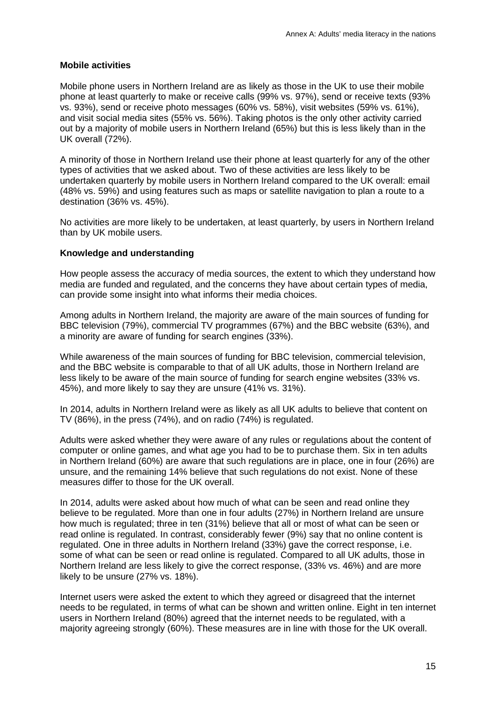#### **Mobile activities**

Mobile phone users in Northern Ireland are as likely as those in the UK to use their mobile phone at least quarterly to make or receive calls (99% vs. 97%), send or receive texts (93% vs. 93%), send or receive photo messages (60% vs. 58%), visit websites (59% vs. 61%), and visit social media sites (55% vs. 56%). Taking photos is the only other activity carried out by a majority of mobile users in Northern Ireland (65%) but this is less likely than in the UK overall (72%).

A minority of those in Northern Ireland use their phone at least quarterly for any of the other types of activities that we asked about. Two of these activities are less likely to be undertaken quarterly by mobile users in Northern Ireland compared to the UK overall: email (48% vs. 59%) and using features such as maps or satellite navigation to plan a route to a destination (36% vs. 45%).

No activities are more likely to be undertaken, at least quarterly, by users in Northern Ireland than by UK mobile users.

#### **Knowledge and understanding**

How people assess the accuracy of media sources, the extent to which they understand how media are funded and regulated, and the concerns they have about certain types of media, can provide some insight into what informs their media choices.

Among adults in Northern Ireland, the majority are aware of the main sources of funding for BBC television (79%), commercial TV programmes (67%) and the BBC website (63%), and a minority are aware of funding for search engines (33%).

While awareness of the main sources of funding for BBC television, commercial television, and the BBC website is comparable to that of all UK adults, those in Northern Ireland are less likely to be aware of the main source of funding for search engine websites (33% vs. 45%), and more likely to say they are unsure (41% vs. 31%).

In 2014, adults in Northern Ireland were as likely as all UK adults to believe that content on TV (86%), in the press (74%), and on radio (74%) is regulated.

Adults were asked whether they were aware of any rules or regulations about the content of computer or online games, and what age you had to be to purchase them. Six in ten adults in Northern Ireland (60%) are aware that such regulations are in place, one in four (26%) are unsure, and the remaining 14% believe that such regulations do not exist. None of these measures differ to those for the UK overall.

In 2014, adults were asked about how much of what can be seen and read online they believe to be regulated. More than one in four adults (27%) in Northern Ireland are unsure how much is regulated; three in ten (31%) believe that all or most of what can be seen or read online is regulated. In contrast, considerably fewer (9%) say that no online content is regulated. One in three adults in Northern Ireland (33%) gave the correct response, i.e. some of what can be seen or read online is regulated. Compared to all UK adults, those in Northern Ireland are less likely to give the correct response, (33% vs. 46%) and are more likely to be unsure (27% vs. 18%).

Internet users were asked the extent to which they agreed or disagreed that the internet needs to be regulated, in terms of what can be shown and written online. Eight in ten internet users in Northern Ireland (80%) agreed that the internet needs to be regulated, with a majority agreeing strongly (60%). These measures are in line with those for the UK overall.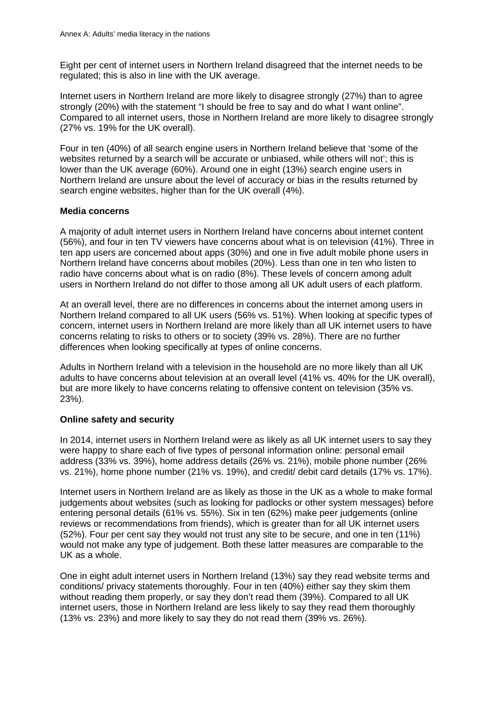Eight per cent of internet users in Northern Ireland disagreed that the internet needs to be regulated; this is also in line with the UK average.

Internet users in Northern Ireland are more likely to disagree strongly (27%) than to agree strongly (20%) with the statement "I should be free to say and do what I want online". Compared to all internet users, those in Northern Ireland are more likely to disagree strongly (27% vs. 19% for the UK overall).

Four in ten (40%) of all search engine users in Northern Ireland believe that 'some of the websites returned by a search will be accurate or unbiased, while others will not'; this is lower than the UK average (60%). Around one in eight (13%) search engine users in Northern Ireland are unsure about the level of accuracy or bias in the results returned by search engine websites, higher than for the UK overall (4%).

#### **Media concerns**

A majority of adult internet users in Northern Ireland have concerns about internet content (56%), and four in ten TV viewers have concerns about what is on television (41%). Three in ten app users are concerned about apps (30%) and one in five adult mobile phone users in Northern Ireland have concerns about mobiles (20%). Less than one in ten who listen to radio have concerns about what is on radio (8%). These levels of concern among adult users in Northern Ireland do not differ to those among all UK adult users of each platform.

At an overall level, there are no differences in concerns about the internet among users in Northern Ireland compared to all UK users (56% vs. 51%). When looking at specific types of concern, internet users in Northern Ireland are more likely than all UK internet users to have concerns relating to risks to others or to society (39% vs. 28%). There are no further differences when looking specifically at types of online concerns.

Adults in Northern Ireland with a television in the household are no more likely than all UK adults to have concerns about television at an overall level (41% vs. 40% for the UK overall), but are more likely to have concerns relating to offensive content on television (35% vs. 23%).

#### **Online safety and security**

In 2014, internet users in Northern Ireland were as likely as all UK internet users to say they were happy to share each of five types of personal information online: personal email address (33% vs. 39%), home address details (26% vs. 21%), mobile phone number (26% vs. 21%), home phone number (21% vs. 19%), and credit/ debit card details (17% vs. 17%).

Internet users in Northern Ireland are as likely as those in the UK as a whole to make formal judgements about websites (such as looking for padlocks or other system messages) before entering personal details (61% vs. 55%). Six in ten (62%) make peer judgements (online reviews or recommendations from friends), which is greater than for all UK internet users (52%). Four per cent say they would not trust any site to be secure, and one in ten (11%) would not make any type of judgement. Both these latter measures are comparable to the UK as a whole.

One in eight adult internet users in Northern Ireland (13%) say they read website terms and conditions/ privacy statements thoroughly. Four in ten (40%) either say they skim them without reading them properly, or say they don't read them (39%). Compared to all UK internet users, those in Northern Ireland are less likely to say they read them thoroughly (13% vs. 23%) and more likely to say they do not read them (39% vs. 26%).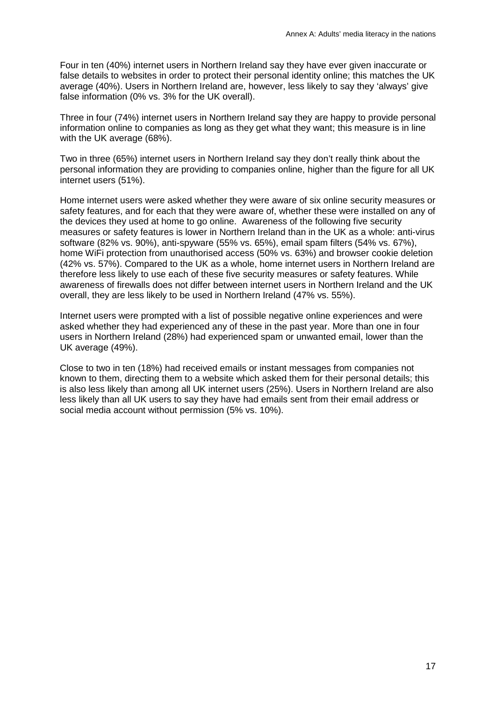Four in ten (40%) internet users in Northern Ireland say they have ever given inaccurate or false details to websites in order to protect their personal identity online; this matches the UK average (40%). Users in Northern Ireland are, however, less likely to say they 'always' give false information (0% vs. 3% for the UK overall).

Three in four (74%) internet users in Northern Ireland say they are happy to provide personal information online to companies as long as they get what they want; this measure is in line with the UK average (68%).

Two in three (65%) internet users in Northern Ireland say they don't really think about the personal information they are providing to companies online, higher than the figure for all UK internet users (51%).

Home internet users were asked whether they were aware of six online security measures or safety features, and for each that they were aware of, whether these were installed on any of the devices they used at home to go online. Awareness of the following five security measures or safety features is lower in Northern Ireland than in the UK as a whole: anti-virus software (82% vs. 90%), anti-spyware (55% vs. 65%), email spam filters (54% vs. 67%), home WiFi protection from unauthorised access (50% vs. 63%) and browser cookie deletion (42% vs. 57%). Compared to the UK as a whole, home internet users in Northern Ireland are therefore less likely to use each of these five security measures or safety features. While awareness of firewalls does not differ between internet users in Northern Ireland and the UK overall, they are less likely to be used in Northern Ireland (47% vs. 55%).

Internet users were prompted with a list of possible negative online experiences and were asked whether they had experienced any of these in the past year. More than one in four users in Northern Ireland (28%) had experienced spam or unwanted email, lower than the UK average (49%).

Close to two in ten (18%) had received emails or instant messages from companies not known to them, directing them to a website which asked them for their personal details; this is also less likely than among all UK internet users (25%). Users in Northern Ireland are also less likely than all UK users to say they have had emails sent from their email address or social media account without permission (5% vs. 10%).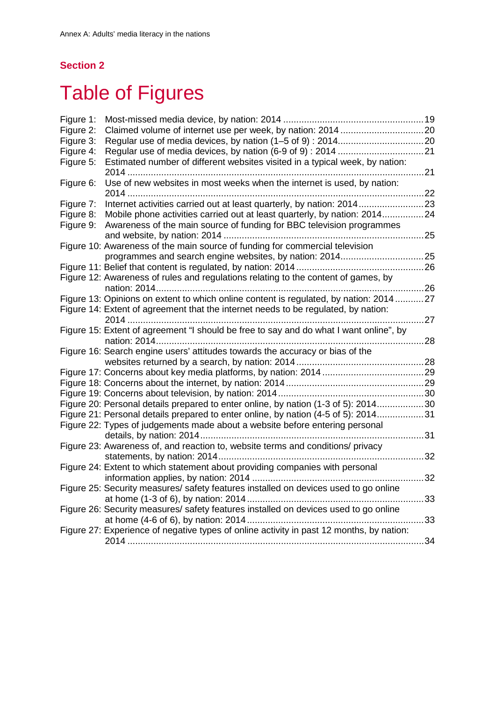## **Section 2**

# <span id="page-18-0"></span>**Table of Figures**

| Figure 1: |                                                                                          |      |
|-----------|------------------------------------------------------------------------------------------|------|
| Figure 2: |                                                                                          |      |
| Figure 3: |                                                                                          |      |
| Figure 4: |                                                                                          |      |
| Figure 5: | Estimated number of different websites visited in a typical week, by nation:             |      |
|           |                                                                                          | . 21 |
| Figure 6: | Use of new websites in most weeks when the internet is used, by nation:                  |      |
|           | 2014                                                                                     |      |
| Figure 7: |                                                                                          |      |
| Figure 8: | Mobile phone activities carried out at least quarterly, by nation: 201424                |      |
| Figure 9: | Awareness of the main source of funding for BBC television programmes                    |      |
|           |                                                                                          | 25   |
|           | Figure 10: Awareness of the main source of funding for commercial television             |      |
|           |                                                                                          |      |
|           |                                                                                          |      |
|           | Figure 12: Awareness of rules and regulations relating to the content of games, by       |      |
|           |                                                                                          |      |
|           | Figure 13: Opinions on extent to which online content is regulated, by nation: 201427    |      |
|           | Figure 14: Extent of agreement that the internet needs to be regulated, by nation:       |      |
|           |                                                                                          | 27   |
|           | Figure 15: Extent of agreement "I should be free to say and do what I want online", by   |      |
|           | . 28                                                                                     |      |
|           | Figure 16: Search engine users' attitudes towards the accuracy or bias of the            |      |
|           |                                                                                          |      |
|           |                                                                                          |      |
|           |                                                                                          |      |
|           |                                                                                          |      |
|           | Figure 20: Personal details prepared to enter online, by nation (1-3 of 5): 201430       |      |
|           | Figure 21: Personal details prepared to enter online, by nation (4-5 of 5): 201431       |      |
|           | Figure 22: Types of judgements made about a website before entering personal             |      |
|           | 31                                                                                       |      |
|           | Figure 23: Awareness of, and reaction to, website terms and conditions/ privacy          |      |
|           |                                                                                          | 32   |
|           | Figure 24: Extent to which statement about providing companies with personal             |      |
|           |                                                                                          | 32   |
|           | Figure 25: Security measures/ safety features installed on devices used to go online     |      |
|           |                                                                                          | 33   |
|           | Figure 26: Security measures/ safety features installed on devices used to go online     |      |
|           |                                                                                          | 33   |
|           | Figure 27: Experience of negative types of online activity in past 12 months, by nation: |      |
|           |                                                                                          | 34   |
|           |                                                                                          |      |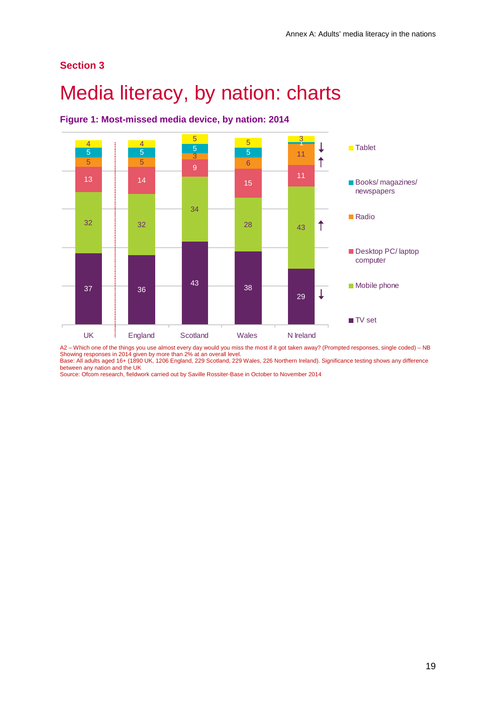### **Section 3**

## <span id="page-19-0"></span>Media literacy, by nation: charts



<span id="page-19-1"></span>**Figure 1: Most-missed media device, by nation: 2014**

A2 – Which one of the things you use almost every day would you miss the most if it got taken away? (Prompted responses, single coded) – NB Showing responses in 2014 given by more than 2% at an overall level. Base: All adults aged 16+ (1890 UK, 1206 England, 229 Scotland, 229 Wales, 226 Northern Ireland). Significance testing shows any difference

between any nation and the UK Source: Ofcom research, fieldwork carried out by Saville Rossiter-Base in October to November 2014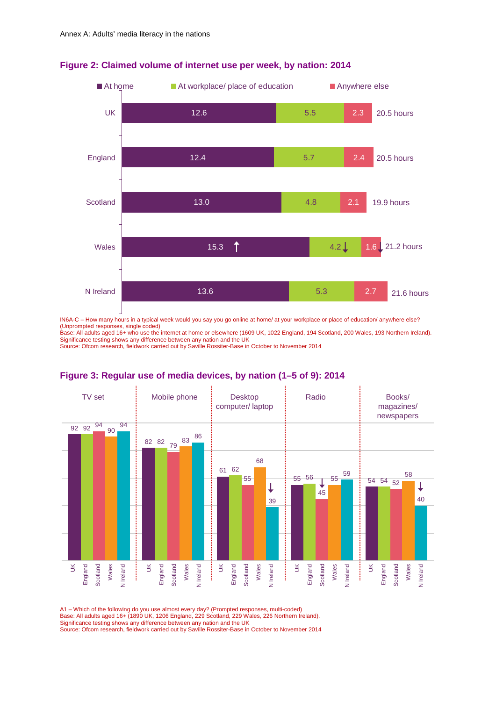

#### <span id="page-20-0"></span>**Figure 2: Claimed volume of internet use per week, by nation: 2014**

IN6A-C – How many hours in a typical week would you say you go online at home/ at your workplace or place of education/ anywhere else? (Unprompted responses, single coded)

<span id="page-20-1"></span>Base: All adults aged 16+ who use the internet at home or elsewhere (1609 UK, 1022 England, 194 Scotland, 200 Wales, 193 Northern Ireland). Significance testing shows any difference between any nation and the UK Source: Ofcom research, fieldwork carried out by Saville Rossiter-Base in October to November 2014



#### **Figure 3: Regular use of media devices, by nation (1–5 of 9): 2014**

A1 – Which of the following do you use almost every day? (Prompted responses, multi-coded)

Base: All adults aged 16+ (1890 UK, 1206 England, 229 Scotland, 229 Wales, 226 Northern Ireland). Significance testing shows any difference between any nation and the UK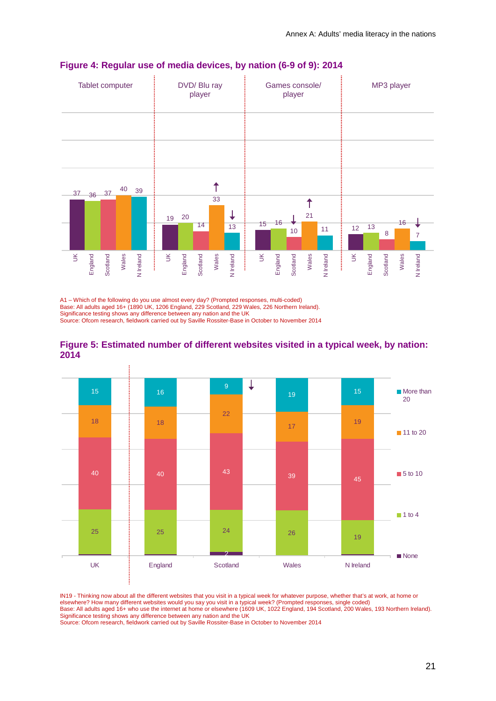

#### <span id="page-21-0"></span>**Figure 4: Regular use of media devices, by nation (6-9 of 9): 2014**

A1 – Which of the following do you use almost every day? (Prompted responses, multi-coded) Base: All adults aged 16+ (1890 UK, 1206 England, 229 Scotland, 229 Wales, 226 Northern Ireland). Significance testing shows any difference between any nation and the UK

Source: Ofcom research, fieldwork carried out by Saville Rossiter-Base in October to November 2014



<span id="page-21-1"></span>**Figure 5: Estimated number of different websites visited in a typical week, by nation: 2014**

IN19 - Thinking now about all the different websites that you visit in a typical week for whatever purpose, whether that's at work, at home or elsewhere? How many different websites would you say you visit in a typical week? (Prompted responses, single coded)

Base: All adults aged 16+ who use the internet at home or elsewhere (1609 UK, 1022 England, 194 Scotland, 200 Wales, 193 Northern Ireland). Significance testing shows any difference between any nation and the UK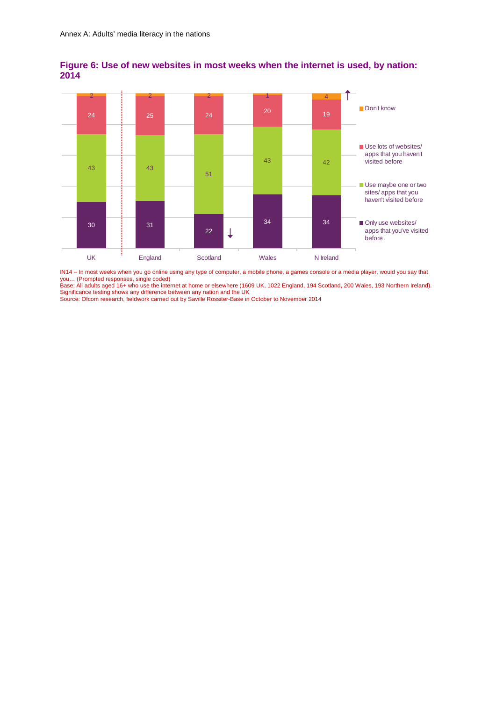

<span id="page-22-0"></span>**Figure 6: Use of new websites in most weeks when the internet is used, by nation: 2014**

IN14 – In most weeks when you go online using any type of computer, a mobile phone, a games console or a media player, would you say that you… (Prompted responses, single coded)

Base: All adults aged 16+ who use the internet at home or elsewhere (1609 UK, 1022 England, 194 Scotland, 200 Wales, 193 Northern Ireland). Significance testing shows any difference between any nation and the UK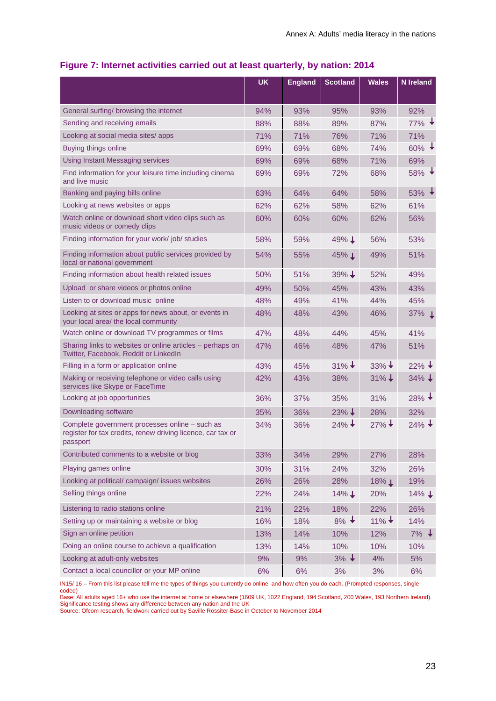<span id="page-23-0"></span>

| Figure 7: Internet activities carried out at least quarterly, by nation: 2014 |  |  |  |  |  |  |  |
|-------------------------------------------------------------------------------|--|--|--|--|--|--|--|
|-------------------------------------------------------------------------------|--|--|--|--|--|--|--|

|                                                                                                                           | <b>UK</b> | <b>England</b> | <b>Scotland</b>     | <b>Wales</b>        | <b>N</b> Ireland    |
|---------------------------------------------------------------------------------------------------------------------------|-----------|----------------|---------------------|---------------------|---------------------|
|                                                                                                                           |           |                |                     |                     |                     |
| General surfing/ browsing the internet                                                                                    | 94%       | 93%            | 95%                 | 93%                 | 92%                 |
| Sending and receiving emails                                                                                              | 88%       | 88%            | 89%                 | 87%                 | $77\%$ $\downarrow$ |
| Looking at social media sites/apps                                                                                        | 71%       | 71%            | 76%                 | 71%                 | 71%                 |
| Buying things online                                                                                                      | 69%       | 69%            | 68%                 | 74%                 | $60\%$ $\downarrow$ |
| <b>Using Instant Messaging services</b>                                                                                   | 69%       | 69%            | 68%                 | 71%                 | 69%                 |
| Find information for your leisure time including cinema<br>and live music                                                 | 69%       | 69%            | 72%                 | 68%                 | $58\%$ $\star$      |
| Banking and paying bills online                                                                                           | 63%       | 64%            | 64%                 | 58%                 | $53\%$ $\downarrow$ |
| Looking at news websites or apps                                                                                          | 62%       | 62%            | 58%                 | 62%                 | 61%                 |
| Watch online or download short video clips such as<br>music videos or comedy clips                                        | 60%       | 60%            | 60%                 | 62%                 | 56%                 |
| Finding information for your work/ job/ studies                                                                           | 58%       | 59%            | $49\%$ $\downarrow$ | 56%                 | 53%                 |
| Finding information about public services provided by<br>local or national government                                     | 54%       | 55%            | 45% ↓               | 49%                 | 51%                 |
| Finding information about health related issues                                                                           | 50%       | 51%            | $39\% \downarrow$   | 52%                 | 49%                 |
| Upload or share videos or photos online                                                                                   | 49%       | 50%            | 45%                 | 43%                 | 43%                 |
| Listen to or download music online                                                                                        | 48%       | 49%            | 41%                 | 44%                 | 45%                 |
| Looking at sites or apps for news about, or events in<br>your local area/ the local community                             | 48%       | 48%            | 43%                 | 46%                 | 37% ↓               |
| Watch online or download TV programmes or films                                                                           | 47%       | 48%            | 44%                 | 45%                 | 41%                 |
| Sharing links to websites or online articles - perhaps on<br>Twitter, Facebook, Reddit or LinkedIn                        | 47%       | 46%            | 48%                 | 47%                 | 51%                 |
| Filling in a form or application online                                                                                   | 43%       | 45%            | $31\% +$            | $33\% \downarrow$   | $22\% \downarrow$   |
| Making or receiving telephone or video calls using<br>services like Skype or FaceTime                                     | 42%       | 43%            | 38%                 | $31\% +$            | $34\% \downarrow$   |
| Looking at job opportunities                                                                                              | 36%       | 37%            | 35%                 | 31%                 | $28\%$ +            |
| Downloading software                                                                                                      | 35%       | 36%            | $23\% \downarrow$   | 28%                 | 32%                 |
| Complete government processes online - such as<br>register for tax credits, renew driving licence, car tax or<br>passport | 34%       | 36%            | $24\% +$            | $27\% +$            | $24\% +$            |
| Contributed comments to a website or blog                                                                                 | 33%       | 34%            | 29%                 | 27%                 | 28%                 |
| Playing games online                                                                                                      | 30%       | 31%            | 24%                 | 32%                 | 26%                 |
| Looking at political/ campaign/ issues websites                                                                           | 26%       | 26%            | 28%                 | $18\%$ $\downarrow$ | 19%                 |
| Selling things online                                                                                                     | 22%       | 24%            | 14%↓                | 20%                 | 14%↓                |
| Listening to radio stations online                                                                                        | 21%       | 22%            | 18%                 | 22%                 | 26%                 |
| Setting up or maintaining a website or blog                                                                               | 16%       | 18%            | $8\%$ +             | $11\%$ ↓            | 14%                 |
| Sign an online petition                                                                                                   | 13%       | 14%            | 10%                 | 12%                 | $7\%$ $\downarrow$  |
| Doing an online course to achieve a qualification                                                                         | 13%       | 14%            | 10%                 | 10%                 | 10%                 |
| Looking at adult-only websites                                                                                            | 9%        | 9%             | $3\%$ $\downarrow$  | 4%                  | 5%                  |
| Contact a local councillor or your MP online                                                                              | 6%        | 6%             | 3%                  | 3%                  | 6%                  |

IN15/ 16 – From this list please tell me the types of things you currently do online, and how often you do each. (Prompted responses, single coded)

Base: All adults aged 16+ who use the internet at home or elsewhere (1609 UK, 1022 England, 194 Scotland, 200 Wales, 193 Northern Ireland). Significance testing shows any difference between any nation and the UK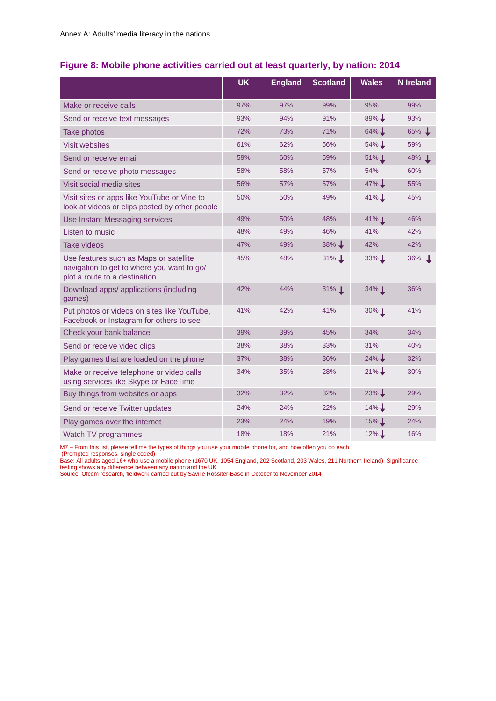### <span id="page-24-0"></span>**Figure 8: Mobile phone activities carried out at least quarterly, by nation: 2014**

|                                                                                                                       | <b>UK</b> | <b>England</b> | <b>Scotland</b>     | <b>Wales</b>        | <b>N</b> Ireland    |
|-----------------------------------------------------------------------------------------------------------------------|-----------|----------------|---------------------|---------------------|---------------------|
| Make or receive calls                                                                                                 | 97%       | 97%            | 99%                 | 95%                 | 99%                 |
| Send or receive text messages                                                                                         | 93%       | 94%            | 91%                 | $89\%$ $\downarrow$ | 93%                 |
| Take photos                                                                                                           | 72%       | 73%            | 71%                 | $64\%$              | $65\%$ $\downarrow$ |
| <b>Visit websites</b>                                                                                                 | 61%       | 62%            | 56%                 | $54\%$ $\downarrow$ | 59%                 |
| Send or receive email                                                                                                 | 59%       | 60%            | 59%                 | $51\%$ $\perp$      | 48% ↓               |
| Send or receive photo messages                                                                                        | 58%       | 58%            | 57%                 | 54%                 | 60%                 |
| Visit social media sites                                                                                              | 56%       | 57%            | 57%                 | $47\%$              | 55%                 |
| Visit sites or apps like YouTube or Vine to<br>look at videos or clips posted by other people                         | 50%       | 50%            | 49%                 | 41%↓                | 45%                 |
| Use Instant Messaging services                                                                                        | 49%       | 50%            | 48%                 | $41\%$ $\perp$      | 46%                 |
| Listen to music                                                                                                       | 48%       | 49%            | 46%                 | 41%                 | 42%                 |
| <b>Take videos</b>                                                                                                    | 47%       | 49%            | $38\%$ $\downarrow$ | 42%                 | 42%                 |
| Use features such as Maps or satellite<br>navigation to get to where you want to go/<br>plot a route to a destination | 45%       | 48%            | $31\%$ $\perp$      | $33\%$ $\perp$      | 36% ↓               |
| Download apps/ applications (including<br>games)                                                                      | 42%       | 44%            | 31% 1               | 34% 1               | 36%                 |
| Put photos or videos on sites like YouTube,<br>Facebook or Instagram for others to see                                | 41%       | 42%            | 41%                 | 30%1                | 41%                 |
| Check your bank balance                                                                                               | 39%       | 39%            | 45%                 | 34%                 | 34%                 |
| Send or receive video clips                                                                                           | 38%       | 38%            | 33%                 | 31%                 | 40%                 |
| Play games that are loaded on the phone                                                                               | 37%       | 38%            | 36%                 | $24\%$ $\downarrow$ | 32%                 |
| Make or receive telephone or video calls<br>using services like Skype or FaceTime                                     | 34%       | 35%            | 28%                 | $21\%$ $\downarrow$ | 30%                 |
| Buy things from websites or apps                                                                                      | 32%       | 32%            | 32%                 | $23\%$ $\downarrow$ | 29%                 |
| Send or receive Twitter updates                                                                                       | 24%       | 24%            | 22%                 | $14\%$ $\downarrow$ | 29%                 |
| Play games over the internet                                                                                          | 23%       | 24%            | 19%                 | $15\%$              | 24%                 |
| Watch TV programmes                                                                                                   | 18%       | 18%            | 21%                 | $12\%$              | 16%                 |

M7 – From this list, please tell me the types of things you use your mobile phone for, and how often you do each.

(Prompted responses, single coded)

Base: All adults aged 16+ who use a mobile phone (1670 UK, 1054 England, 202 Scotland, 203 Wales, 211 Northern Ireland). Significance testing shows any difference between any nation and the UK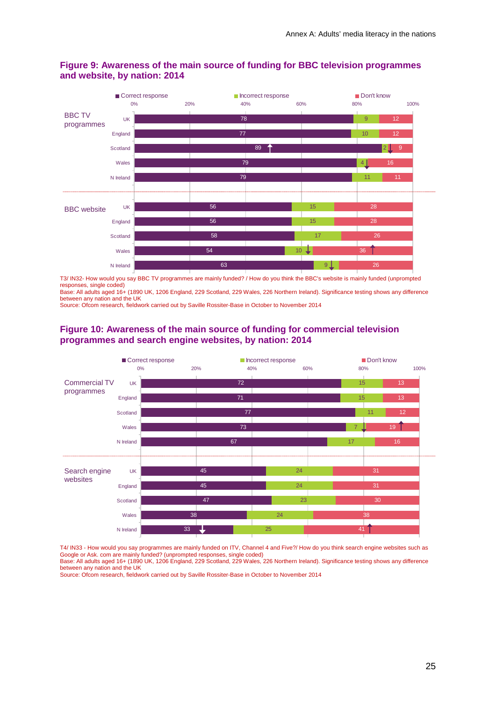

#### <span id="page-25-0"></span>**Figure 9: Awareness of the main source of funding for BBC television programmes and website, by nation: 2014**

T3/ IN32- How would you say BBC TV programmes are mainly funded? / How do you think the BBC's website is mainly funded (unprompted responses, single coded)

Base: All adults aged 16+ (1890 UK, 1206 England, 229 Scotland, 229 Wales, 226 Northern Ireland). Significance testing shows any difference between any nation and the UK

Source: Ofcom research, fieldwork carried out by Saville Rossiter-Base in October to November 2014

#### <span id="page-25-1"></span>**Figure 10: Awareness of the main source of funding for commercial television programmes and search engine websites, by nation: 2014**



T4/ IN33 - How would you say programmes are mainly funded on ITV, Channel 4 and Five?/ How do you think search engine websites such as Google or Ask. com are mainly funded? (unprompted responses, single coded) Base: All adults aged 16+ (1890 UK, 1206 England, 229 Scotland, 229 Wales, 226 Northern Ireland). Significance testing shows any difference between any nation and the UK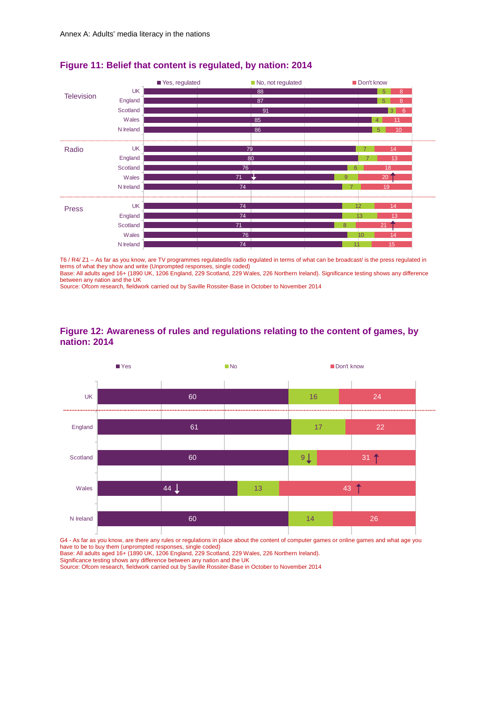

#### <span id="page-26-0"></span>**Figure 11: Belief that content is regulated, by nation: 2014**

T6 / R4/ Z1 – As far as you know, are TV programmes regulated/is radio regulated in terms of what can be broadcast/ is the press regulated in terms of what they show and write (Unprompted responses, single coded) Base: All adults aged 16+ (1890 UK, 1206 England, 229 Scotland, 229 Wales, 226 Northern Ireland). Significance testing shows any difference

between any nation and the UK

Source: Ofcom research, fieldwork carried out by Saville Rossiter-Base in October to November 2014

<span id="page-26-1"></span>



G4 - As far as you know, are there any rules or regulations in place about the content of computer games or online games and what age you have to be to buy them (unprompted responses, single coded) Base: All adults aged 16+ (1890 UK, 1206 England, 229 Scotland, 229 Wales, 226 Northern Ireland).

Significance testing shows any difference between any nation and the UK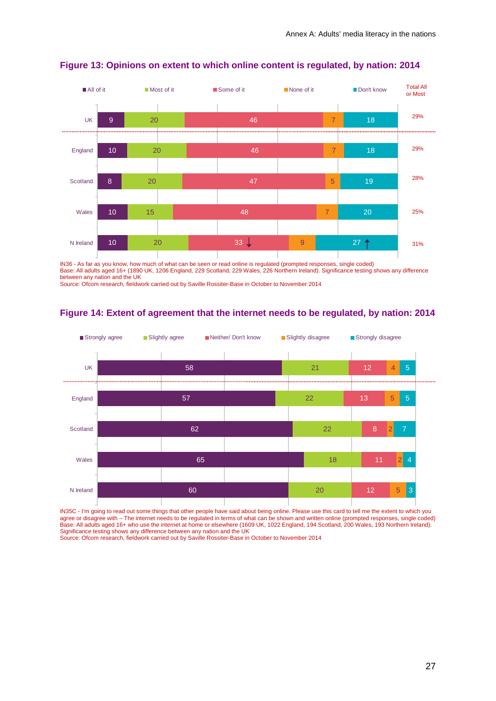

#### <span id="page-27-0"></span>**Figure 13: Opinions on extent to which online content is regulated, by nation: 2014**

IN36 - As far as you know, how much of what can be seen or read online is regulated (prompted responses, single coded) Base: All adults aged 16+ (1890 UK, 1206 England, 229 Scotland, 229 Wales, 226 Northern Ireland). Significance testing shows any difference between any nation and the UK

Source: Ofcom research, fieldwork carried out by Saville Rossiter-Base in October to November 2014

#### <span id="page-27-1"></span>**Figure 14: Extent of agreement that the internet needs to be regulated, by nation: 2014**



IN35C - I'm going to read out some things that other people have said about being online. Please use this card to tell me the extent to which you agree or disagree with – The internet needs to be regulated in terms of what can be shown and written online (prompted responses, single coded) Base: All adults aged 16+ who use the internet at home or elsewhere (1609 UK, 1022 England, 194 Scotland, 200 Wales, 193 Northern Ireland). Significance testing shows any difference between any nation and the UK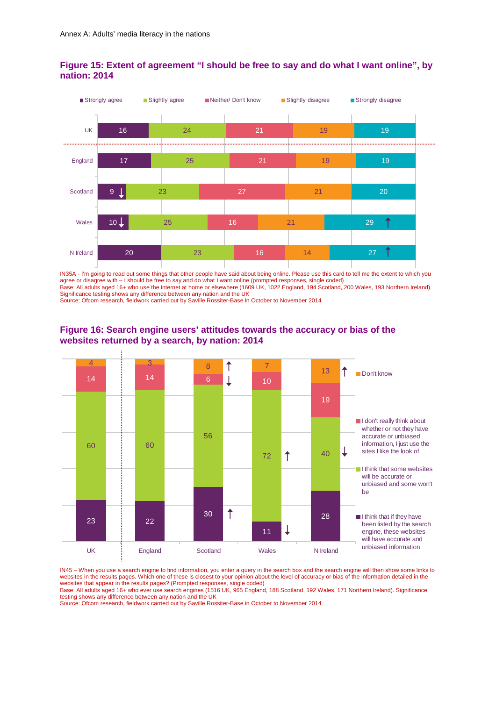

#### <span id="page-28-0"></span>**Figure 15: Extent of agreement "I should be free to say and do what I want online", by nation: 2014**

IN35A - I'm going to read out some things that other people have said about being online. Please use this card to tell me the extent to which you agree or disagree with – I should be free to say and do what I want online (prompted responses, single coded) Base: All adults aged 16+ who use the internet at home or elsewhere (1609 UK, 1022 England, 194 Scotland, 200 Wales, 193 Northern Ireland). Significance testing shows any difference between any nation and the UK

Source: Ofcom research, fieldwork carried out by Saville Rossiter-Base in October to November 2014



#### <span id="page-28-1"></span>**Figure 16: Search engine users' attitudes towards the accuracy or bias of the websites returned by a search, by nation: 2014**

IN45 – When you use a search engine to find information, you enter a query in the search box and the search engine will then show some links to websites in the results pages. Which one of these is closest to your opinion about the level of accuracy or bias of the information detailed in the websites that appear in the results pages? (Prompted responses, single coded)

Base: All adults aged 16+ who ever use search engines (1516 UK, 965 England, 188 Scotland, 192 Wales, 171 Northern Ireland). Significance testing shows any difference between any nation and the UK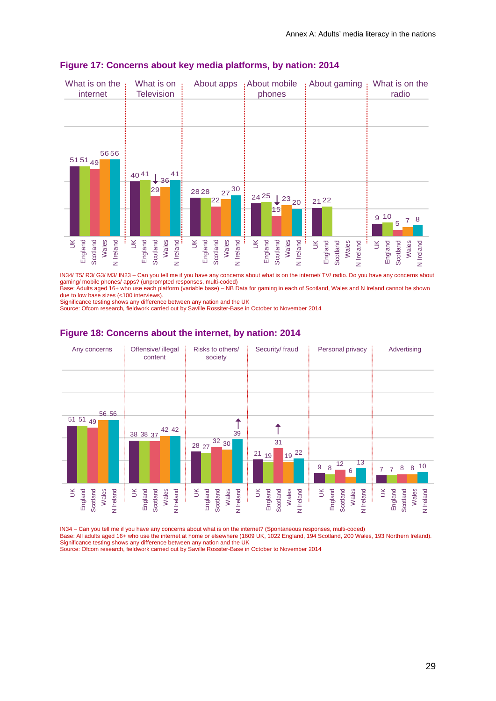

#### <span id="page-29-0"></span>**Figure 17: Concerns about key media platforms, by nation: 2014**

IN34/ T5/ R3/ G3/ M3/ IN23 – Can you tell me if you have any concerns about what is on the internet/ TV/ radio. Do you have any concerns about gaming/ mobile phones/ apps? (unprompted responses, multi-coded)

Base: Adults aged 16+ who use each platform (variable base) – NB Data for gaming in each of Scotland, Wales and N Ireland cannot be shown due to low base sizes (<100 interviews).

Significance testing shows any difference between any nation and the UK

Source: Ofcom research, fieldwork carried out by Saville Rossiter-Base in October to November 2014



#### <span id="page-29-1"></span>**Figure 18: Concerns about the internet, by nation: 2014**

IN34 – Can you tell me if you have any concerns about what is on the internet? (Spontaneous responses, multi-coded)

Base: All adults aged 16+ who use the internet at home or elsewhere (1609 UK, 1022 England, 194 Scotland, 200 Wales, 193 Northern Ireland). Significance testing shows any difference between any nation and the UK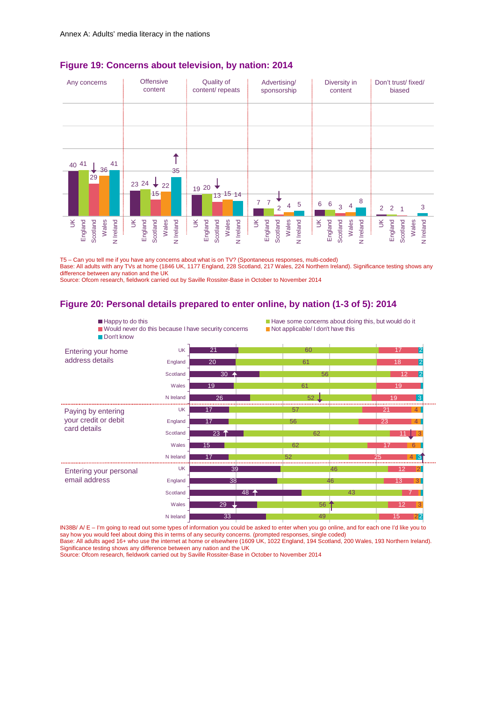

#### <span id="page-30-0"></span>**Figure 19: Concerns about television, by nation: 2014**

T5 – Can you tell me if you have any concerns about what is on TV? (Spontaneous responses, multi-coded) Base: All adults with any TVs at home (1846 UK, 1177 England, 228 Scotland, 217 Wales, 224 Northern Ireland). Significance testing shows any difference between any nation and the UK

■ Happy to do this **Have some concerns about doing this, but would do it** 

Source: Ofcom research, fieldwork carried out by Saville Rossiter-Base in October to November 2014

#### <span id="page-30-1"></span>**Figure 20: Personal details prepared to enter online, by nation (1-3 of 5): 2014**

| Don't know             |           | ■ Would never do this because I have security concerns | Not applicable/I don't have this |                  |
|------------------------|-----------|--------------------------------------------------------|----------------------------------|------------------|
| Entering your home     | <b>UK</b> | 21                                                     | 60                               | 17               |
| address details        | England   | 20                                                     | 61                               | 18               |
|                        | Scotland  | 30 $\rightarrow$                                       | 56                               | 12               |
|                        | Wales     | 19                                                     | 61                               | 19               |
|                        | N Ireland | 26                                                     | 52                               | 19<br>3          |
| Paying by entering     | UK        | 17                                                     | -57                              | 21<br>Δ          |
| your credit or debit   | England   | 17                                                     | 56                               | 23<br>Δ          |
| card details           | Scotland  | $23$ $\uparrow$                                        | 62                               |                  |
|                        | Wales     | 15                                                     | 62                               | 17<br>$\epsilon$ |
|                        | N Ireland |                                                        | 52                               | 25<br>43         |
| Entering your personal | UK        | 39                                                     | 46                               | 12               |
| email address          | England   | 38                                                     | 46                               | з                |
|                        | Scotland  | 48 $\uparrow$                                          | 43                               |                  |
|                        | Wales     | 29                                                     | 56                               | 12               |
|                        | N Ireland | 33                                                     | 49                               | 15<br>$2^2$      |

IN38B/ A/ E – I'm going to read out some types of information you could be asked to enter when you go online, and for each one I'd like you to say how you would feel about doing this in terms of any security concerns. (prompted responses, single coded) Base: All adults aged 16+ who use the internet at home or elsewhere (1609 UK, 1022 England, 194 Scotland, 200 Wales, 193 Northern Ireland).

Significance testing shows any difference between any nation and the UK Source: Ofcom research, fieldwork carried out by Saville Rossiter-Base in October to November 2014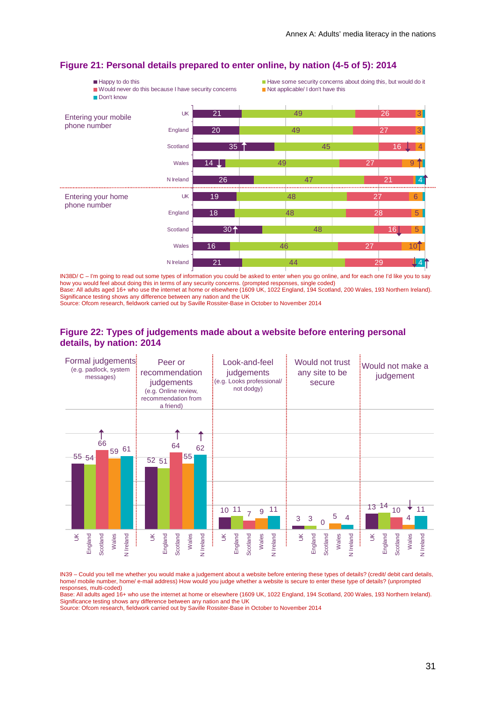

#### <span id="page-31-0"></span>**Figure 21: Personal details prepared to enter online, by nation (4-5 of 5): 2014**

IN38D/ C – I'm going to read out some types of information you could be asked to enter when you go online, and for each one I'd like you to say how you would feel about doing this in terms of any security concerns. (prompted responses, single coded) Base: All adults aged 16+ who use the internet at home or elsewhere (1609 UK, 1022 England, 194 Scotland, 200 Wales, 193 Northern Ireland). Significance testing shows any difference between any nation and the UK

Source: Ofcom research, fieldwork carried out by Saville Rossiter-Base in October to November 2014

#### <span id="page-31-1"></span>**Figure 22: Types of judgements made about a website before entering personal details, by nation: 2014**



IN39 – Could you tell me whether you would make a judgement about a website before entering these types of details? (credit/ debit card details, home/ mobile number, home/ e-mail address) How would you judge whether a website is secure to enter these type of details? (unprompted responses, multi-coded)

Base: All adults aged 16+ who use the internet at home or elsewhere (1609 UK, 1022 England, 194 Scotland, 200 Wales, 193 Northern Ireland). Significance testing shows any difference between any nation and the UK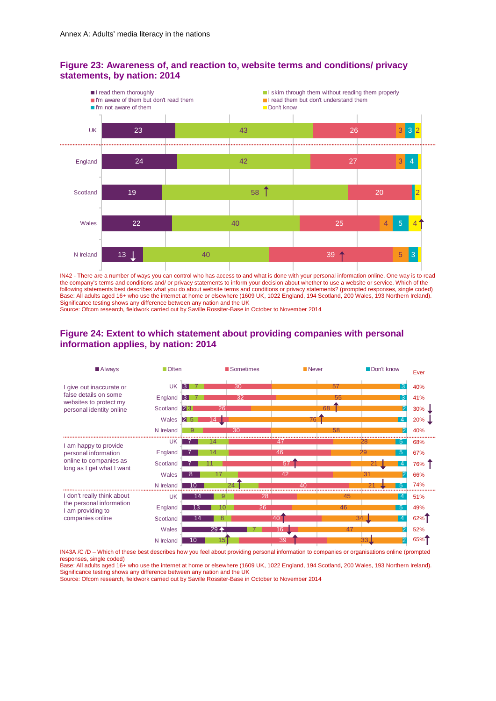#### <span id="page-32-0"></span>**Figure 23: Awareness of, and reaction to, website terms and conditions/ privacy statements, by nation: 2014**



IN42 - There are a number of ways you can control who has access to and what is done with your personal information online. One way is to read the company's terms and conditions and/ or privacy statements to inform your decision about whether to use a website or service. Which of the following statements best describes what you do about website terms and conditions or privacy statements? (prompted responses, single coded) Base: All adults aged 16+ who use the internet at home or elsewhere (1609 UK, 1022 England, 194 Scotland, 200 Wales, 193 Northern Ireland). Significance testing shows any difference between any nation and the UK

Source: Ofcom research, fieldwork carried out by Saville Rossiter-Base in October to November 2014

#### <span id="page-32-1"></span>**Figure 24: Extent to which statement about providing companies with personal information applies, by nation: 2014**



IN43A /C /D – Which of these best describes how you feel about providing personal information to companies or organisations online (prompted responses, single coded)

Base: All adults aged 16+ who use the internet at home or elsewhere (1609 UK, 1022 England, 194 Scotland, 200 Wales, 193 Northern Ireland). Significance testing shows any difference between any nation and the UK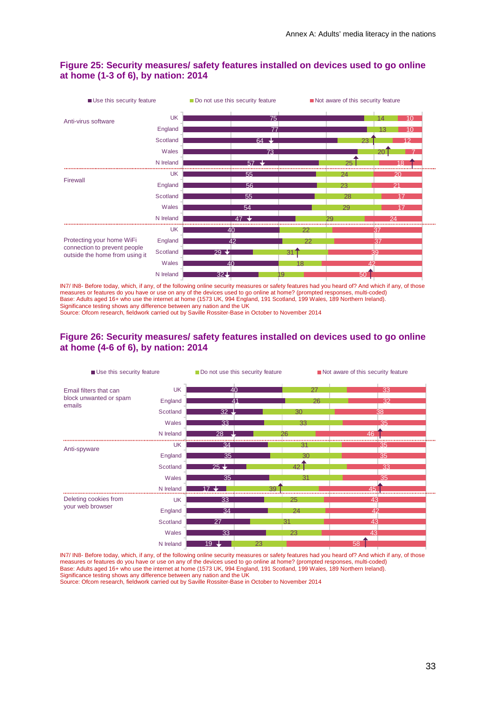

#### <span id="page-33-0"></span>**Figure 25: Security measures/ safety features installed on devices used to go online at home (1-3 of 6), by nation: 2014**

IN7/ IN8- Before today, which, if any, of the following online security measures or safety features had you heard of? And which if any, of those measures or features do you have or use on any of the devices used to go online at home? (prompted responses, multi-coded) Base: Adults aged 16+ who use the internet at home (1573 UK, 994 England, 191 Scotland, 199 Wales, 189 Northern Ireland). Significance testing shows any difference between any nation and the UK

Source: Ofcom research, fieldwork carried out by Saville Rossiter-Base in October to November 2014

#### <span id="page-33-1"></span>**Figure 26: Security measures/ safety features installed on devices used to go online at home (4-6 of 6), by nation: 2014**

| Use this security feature        |           | Do not use this security feature |    | Not aware of this security feature |  |  |  |
|----------------------------------|-----------|----------------------------------|----|------------------------------------|--|--|--|
| Email filters that can           | <b>UK</b> | 40                               | 27 | 33                                 |  |  |  |
| block unwanted or spam<br>emails | England   | $\overline{41}$                  | 26 | 32                                 |  |  |  |
|                                  | Scotland  | $32 -$                           | 30 | 38                                 |  |  |  |
|                                  | Wales     | 33                               | 33 | 35                                 |  |  |  |
|                                  | N Ireland | 28                               | 26 | 46                                 |  |  |  |
| Anti-spyware                     | UK        | 34                               | 3' | 35                                 |  |  |  |
|                                  | England   | 35                               | 30 | 35                                 |  |  |  |
|                                  | Scotland  | $25 +$                           | 42 | 33                                 |  |  |  |
|                                  | Wales     | 35                               | 31 | 35                                 |  |  |  |
|                                  | N Ireland |                                  | 39 | 45                                 |  |  |  |
| Deleting cookies from            | UK        | 33                               | 25 | 43                                 |  |  |  |
| your web browser                 | England   | 34                               | 24 | 42                                 |  |  |  |
|                                  | Scotland  | 27                               | 31 | 43                                 |  |  |  |
|                                  | Wales     | 33                               | 23 | 43                                 |  |  |  |
|                                  | N Ireland | 19                               | 23 | 58                                 |  |  |  |

IN7/ IN8- Before today, which, if any, of the following online security measures or safety features had you heard of? And which if any, of those measures or features do you have or use on any of the devices used to go online at home? (prompted responses, multi-coded) Base: Adults aged 16+ who use the internet at home (1573 UK, 994 England, 191 Scotland, 199 Wales, 189 Northern Ireland). Significance testing shows any difference between any nation and the UK